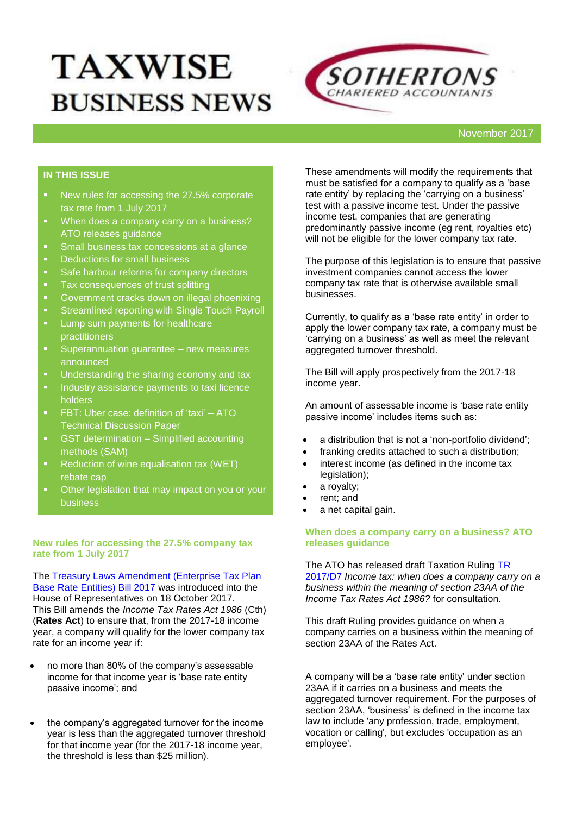# **TAXWISE BUSINESS NEWS**



# **IN THIS ISSUE**

- New rules for accessing the 27.5% corporate tax rate from 1 July 2017
- **When does a company carry on a business?** ATO releases guidance
- **Small business tax concessions at a glance**
- Deductions for small business
- **Safe harbour reforms for company directors**
- **Tax consequences of trust splitting**
- **Government cracks down on illegal phoenixing**
- **EXEC** Streamlined reporting with Single Touch Payroll
- **Lump sum payments for healthcare** practitioners
- **EXECUTE: Superannuation guarantee new measures** announced
- Understanding the sharing economy and tax
- **Industry assistance payments to taxi licence** holders
- FBT: Uber case: definition of 'taxi' ATO Technical Discussion Paper
- **•** GST determination Simplified accounting methods (SAM)
- **Reduction of wine equalisation tax (WET)** rebate cap
- Other legislation that may impact on you or your business

#### **New rules for accessing the 27.5% company tax rate from 1 July 2017**

The **Treasury Laws Amendment (Enterprise Tax Plan** [Base Rate Entities\) Bill 2017](https://www.aph.gov.au/Parliamentary_Business/Bills_Legislation/Bills_Search_Results/Result?bId=r5997) was introduced into the House of Representatives on 18 October 2017. This Bill amends the *Income Tax Rates Act 1986* (Cth) (**Rates Act**) to ensure that, from the 2017-18 income year, a company will qualify for the lower company tax rate for an income year if:

- no more than 80% of the company's assessable income for that income year is 'base rate entity passive income'; and
- the company's aggregated turnover for the income year is less than the aggregated turnover threshold for that income year (for the 2017-18 income year, the threshold is less than \$25 million).

These amendments will modify the requirements that must be satisfied for a company to qualify as a 'base rate entity' by replacing the 'carrying on a business' test with a passive income test. Under the passive income test, companies that are generating predominantly passive income (eg rent, royalties etc) will not be eligible for the lower company tax rate.

The purpose of this legislation is to ensure that passive investment companies cannot access the lower company tax rate that is otherwise available small businesses.

Currently, to qualify as a 'base rate entity' in order to apply the lower company tax rate, a company must be 'carrying on a business' as well as meet the relevant aggregated turnover threshold.

The Bill will apply prospectively from the 2017-18 income year.

An amount of assessable income is 'base rate entity passive income' includes items such as:

- a distribution that is not a 'non-portfolio dividend';
- franking credits attached to such a distribution:
- interest income (as defined in the income tax legislation);
- a royalty;
- rent; and
- a net capital gain.

#### **When does a company carry on a business? ATO releases guidance**

The ATO has released draft Taxation Ruling [TR](https://www.ato.gov.au/law/view/document?src=hs&pit=99991231235958&arc=false&start=1&pageSize=10&total=2&num=0&docid=DTR%2FTR2017D7%2FNAT%2FATO%2F00001&dc=false&tm=phrase-basic-tr%202017%2FD7)  [2017/D7](https://www.ato.gov.au/law/view/document?src=hs&pit=99991231235958&arc=false&start=1&pageSize=10&total=2&num=0&docid=DTR%2FTR2017D7%2FNAT%2FATO%2F00001&dc=false&tm=phrase-basic-tr%202017%2FD7) *Income tax: when does a company carry on a business within the meaning of section 23AA of the Income Tax Rates Act 1986?* for consultation.

This draft Ruling provides guidance on when a company carries on a business within the meaning of section 23AA of the Rates Act.

A company will be a 'base rate entity' under section 23AA if it carries on a business and meets the aggregated turnover requirement. For the purposes of section 23AA, 'business' is defined in the income tax law to include 'any profession, trade, employment, vocation or calling', but excludes 'occupation as an employee'.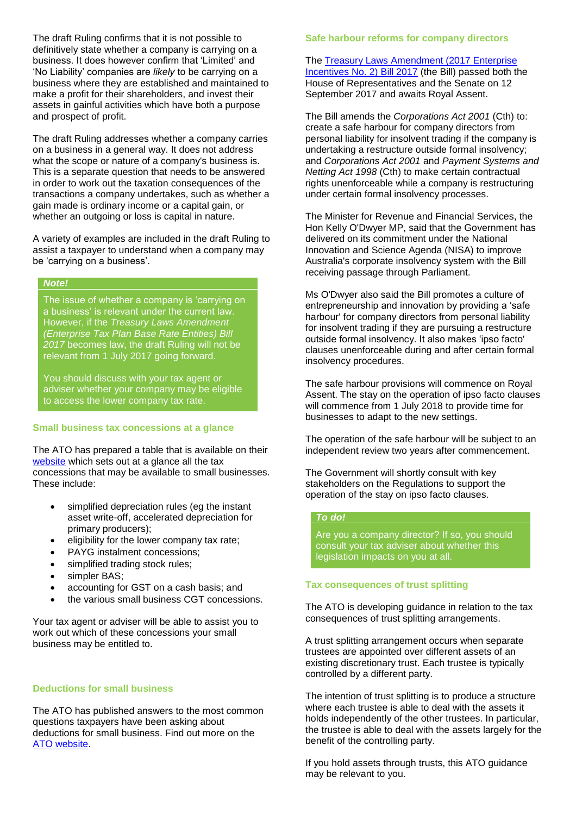The draft Ruling confirms that it is not possible to definitively state whether a company is carrying on a business. It does however confirm that 'Limited' and 'No Liability' companies are *likely* to be carrying on a business where they are established and maintained to make a profit for their shareholders, and invest their assets in gainful activities which have both a purpose and prospect of profit.

The draft Ruling addresses whether a company carries on a business in a general way. It does not address what the scope or nature of a company's business is. This is a separate question that needs to be answered in order to work out the taxation consequences of the transactions a company undertakes, such as whether a gain made is ordinary income or a capital gain, or whether an outgoing or loss is capital in nature.

A variety of examples are included in the draft Ruling to assist a taxpayer to understand when a company may be 'carrying on a business'.

#### *Note!*

The issue of whether a company is 'carrying on a business' is relevant under the current law. However, if the *Treasury Laws Amendment (Enterprise Tax Plan Base Rate Entities) Bill 2017* becomes law, the draft Ruling will not be relevant from 1 July 2017 going forward.

You should discuss with your tax agent or adviser whether your company may be eligible to access the lower company tax rate.

#### **Small business tax concessions at a glance**

The ATO has prepared a table that is available on their [website](https://www.ato.gov.au/Business/Small-business-entity-concessions/Concessions/Concessions-at-a-glance/) which sets out at a glance all the tax concessions that may be available to small businesses. These include:

- simplified depreciation rules (eg the instant asset write-off, accelerated depreciation for primary producers);
- eligibility for the lower company tax rate;
- PAYG instalment concessions;
- simplified trading stock rules;
- simpler BAS;
- accounting for GST on a cash basis; and
- the various small business CGT concessions.

Your tax agent or adviser will be able to assist you to work out which of these concessions your small business may be entitled to.

#### **Deductions for small business**

The ATO has published answers to the most common questions taxpayers have been asking about deductions for small business. Find out more on the [ATO website.](https://www.ato.gov.au/General/Other-languages/In-detail/Information-in-other-languages/Deductions-for-small-business/)

#### **Safe harbour reforms for company directors**

The [Treasury Laws Amendment \(2017 Enterprise](https://www.aph.gov.au/Parliamentary_Business/Bills_Legislation/Bills_Search_Results/Result?bId=r5886)  [Incentives No. 2\) Bill 2017](https://www.aph.gov.au/Parliamentary_Business/Bills_Legislation/Bills_Search_Results/Result?bId=r5886) (the Bill) passed both the House of Representatives and the Senate on 12 September 2017 and awaits Royal Assent.

The Bill amends the *Corporations Act 2001* (Cth) to: create a safe harbour for company directors from personal liability for insolvent trading if the company is undertaking a restructure outside formal insolvency; and *Corporations Act 2001* and *Payment Systems and Netting Act 1998* (Cth) to make certain contractual rights unenforceable while a company is restructuring under certain formal insolvency processes.

The Minister for Revenue and Financial Services, the Hon Kelly O'Dwyer MP, said that the Government has delivered on its commitment under the National Innovation and Science Agenda (NISA) to improve Australia's corporate insolvency system with the Bill receiving passage through Parliament.

Ms O'Dwyer also said the Bill promotes a culture of entrepreneurship and innovation by providing a 'safe harbour' for company directors from personal liability for insolvent trading if they are pursuing a restructure outside formal insolvency. It also makes 'ipso facto' clauses unenforceable during and after certain formal insolvency procedures.

The safe harbour provisions will commence on Royal Assent. The stay on the operation of ipso facto clauses will commence from 1 July 2018 to provide time for businesses to adapt to the new settings.

The operation of the safe harbour will be subject to an independent review two years after commencement.

The Government will shortly consult with key stakeholders on the Regulations to support the operation of the stay on ipso facto clauses.

#### *To do!*

Are you a company director? If so, you should consult your tax adviser about whether this legislation impacts on you at all.

#### **Tax consequences of trust splitting**

The ATO is developing guidance in relation to the tax consequences of trust splitting arrangements.

A trust splitting arrangement occurs when separate trustees are appointed over different assets of an existing discretionary trust. Each trustee is typically controlled by a different party.

The intention of trust splitting is to produce a structure where each trustee is able to deal with the assets it holds independently of the other trustees. In particular, the trustee is able to deal with the assets largely for the benefit of the controlling party.

If you hold assets through trusts, this ATO guidance may be relevant to you.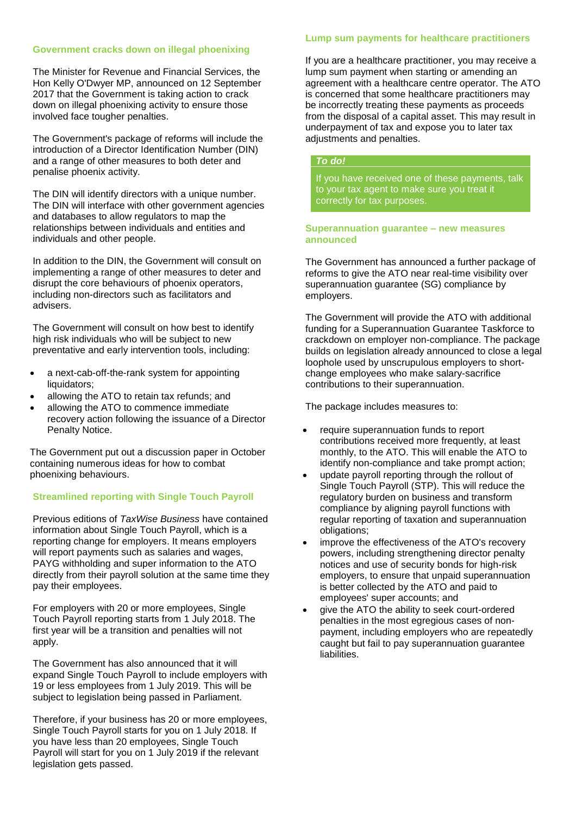#### **Government cracks down on illegal phoenixing**

The Minister for Revenue and Financial Services, the Hon Kelly O'Dwyer MP, announced on 12 September 2017 that the Government is taking action to crack down on illegal phoenixing activity to ensure those involved face tougher penalties.

The Government's package of reforms will include the introduction of a Director Identification Number (DIN) and a range of other measures to both deter and penalise phoenix activity.

The DIN will identify directors with a unique number. The DIN will interface with other government agencies and databases to allow regulators to map the relationships between individuals and entities and individuals and other people.

In addition to the DIN, the Government will consult on implementing a range of other measures to deter and disrupt the core behaviours of phoenix operators, including non-directors such as facilitators and advisers.

The Government will consult on how best to identify high risk individuals who will be subject to new preventative and early intervention tools, including:

- a next-cab-off-the-rank system for appointing liquidators;
- allowing the ATO to retain tax refunds; and
- allowing the ATO to commence immediate recovery action following the issuance of a Director Penalty Notice.

The Government put out a discussion paper in October containing numerous ideas for how to combat phoenixing behaviours.

## **Streamlined reporting with Single Touch Payroll**

Previous editions of *TaxWise Business* have contained information about Single Touch Payroll, which is a reporting change for employers. It means employers will report payments such as salaries and wages, PAYG withholding and super information to the ATO directly from their payroll solution at the same time they pay their employees.

For employers with 20 or more employees, Single Touch Payroll reporting starts from 1 July 2018. The first year will be a transition and penalties will not apply.

The Government has also announced that it will expand Single Touch Payroll to include employers with 19 or less employees from 1 July 2019. This will be subject to legislation being passed in Parliament.

Therefore, if your business has 20 or more employees, Single Touch Payroll starts for you on 1 July 2018. If you have less than 20 employees, Single Touch Payroll will start for you on 1 July 2019 if the relevant legislation gets passed.

## **Lump sum payments for healthcare practitioners**

If you are a healthcare practitioner, you may receive a lump sum payment when starting or amending an agreement with a healthcare centre operator. The ATO is concerned that some healthcare practitioners may be incorrectly treating these payments as proceeds from the disposal of a capital asset. This may result in underpayment of tax and expose you to later tax adjustments and penalties.

### *To do!*

If you have received one of these payments, talk to your tax agent to make sure you treat it correctly for tax purposes.

#### **Superannuation guarantee – new measures announced**

The Government has announced a further package of reforms to give the ATO near real-time visibility over superannuation guarantee (SG) compliance by employers.

The Government will provide the ATO with additional funding for a Superannuation Guarantee Taskforce to crackdown on employer non-compliance. The package builds on legislation already announced to close a legal loophole used by unscrupulous employers to shortchange employees who make salary-sacrifice contributions to their superannuation.

The package includes measures to:

- require superannuation funds to report contributions received more frequently, at least monthly, to the ATO. This will enable the ATO to identify non-compliance and take prompt action;
- update payroll reporting through the rollout of Single Touch Payroll (STP). This will reduce the regulatory burden on business and transform compliance by aligning payroll functions with regular reporting of taxation and superannuation obligations;
- improve the effectiveness of the ATO's recovery powers, including strengthening director penalty notices and use of security bonds for high-risk employers, to ensure that unpaid superannuation is better collected by the ATO and paid to employees' super accounts; and
- give the ATO the ability to seek court-ordered penalties in the most egregious cases of nonpayment, including employers who are repeatedly caught but fail to pay superannuation guarantee liabilities.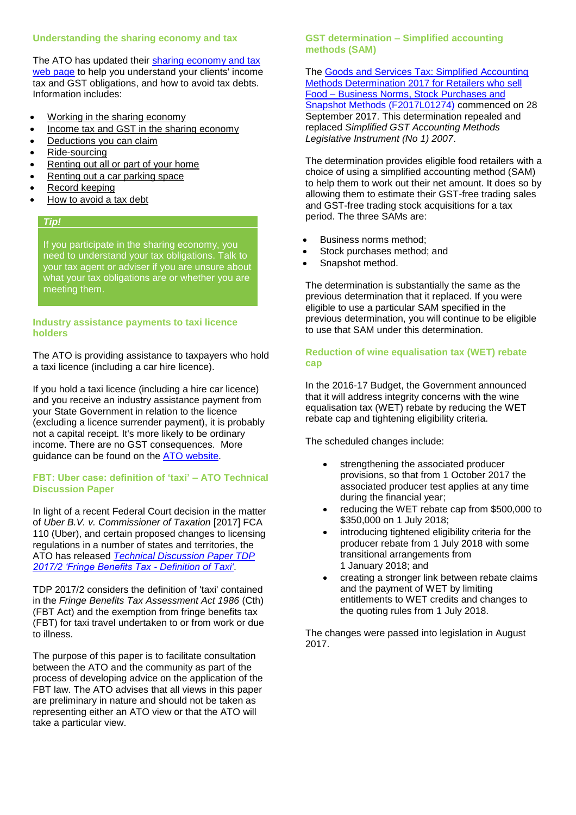## **Understanding the sharing economy and tax**

The ATO has updated their [sharing economy and tax](https://www.ato.gov.au/Tax-professionals/Newsroom/Your-practice/Understanding-the-sharing-economy-and-tax/)  [web page](https://www.ato.gov.au/Tax-professionals/Newsroom/Your-practice/Understanding-the-sharing-economy-and-tax/) to help you understand your clients' income tax and GST obligations, and how to avoid tax debts. Information includes:

- [Working in the sharing economy](https://www.ato.gov.au/general/the-sharing-economy-and-tax/working-in-the-sharing-economy/)
- [Income tax and GST in the sharing economy](https://www.ato.gov.au/General/The-sharing-economy-and-tax/Income-tax-and-GST-in-the-sharing-economy/)
- [Deductions you can claim](https://www.ato.gov.au/General/The-sharing-economy-and-tax/Deductions-you-can-claim/)
- [Ride-sourcing](https://www.ato.gov.au/General/The-sharing-economy-and-tax/Ride-sourcing/)
- [Renting out all or part of your home](https://www.ato.gov.au/General/The-sharing-economy-and-tax/Renting-out-all-or-part-of-your-home/)
- [Renting out a car parking space](https://www.ato.gov.au/General/The-sharing-economy-and-tax/Renting-out-a-car-parking-space/)
- [Record keeping](https://www.ato.gov.au/General/The-sharing-economy-and-tax/Record-keeping/)
- [How to avoid a tax debt](https://www.ato.gov.au/General/The-sharing-economy-and-tax/How-to-avoid-a-tax-debt/)

# *Tip!*

If you participate in the sharing economy, you need to understand your tax obligations. Talk to your tax agent or adviser if you are unsure about what your tax obligations are or whether you are meeting them.

### **Industry assistance payments to taxi licence holders**

The ATO is providing assistance to taxpayers who hold a taxi licence (including a car hire licence).

If you hold a taxi licence (including a hire car licence) and you receive an industry assistance payment from your State Government in relation to the licence (excluding a licence surrender payment), it is probably not a capital receipt. It's more likely to be ordinary income. There are no GST consequences. More guidance can be found on the [ATO website.](https://www.ato.gov.au/Business/Income-and-deductions-for-business/In-detail/Industry-assistance-payments-to-taxi-licence-holders/)

## **FBT: Uber case: definition of 'taxi' – ATO Technical Discussion Paper**

In light of a recent Federal Court decision in the matter of *Uber B.V. v. Commissioner of Taxation* [2017] FCA 110 (Uber), and certain proposed changes to licensing regulations in a number of states and territories, the ATO has released *Technical [Discussion Paper TDP](https://www.ato.gov.au/law/view/document?DocID=TDP/TDP20172/NAT/ATO/00001&PiT=99991231235958)  [2017/2 'Fringe Benefits Tax -](https://www.ato.gov.au/law/view/document?DocID=TDP/TDP20172/NAT/ATO/00001&PiT=99991231235958) Definition of Taxi'*.

TDP 2017/2 considers the definition of 'taxi' contained in the *Fringe Benefits Tax Assessment Act 1986* (Cth) (FBT Act) and the exemption from fringe benefits tax (FBT) for taxi travel undertaken to or from work or due to illness.

The purpose of this paper is to facilitate consultation between the ATO and the community as part of the process of developing advice on the application of the FBT law. The ATO advises that all views in this paper are preliminary in nature and should not be taken as representing either an ATO view or that the ATO will take a particular view.

## **GST determination – Simplified accounting methods (SAM)**

The [Goods and Services Tax: Simplified Accounting](https://www.legislation.gov.au/Details/F2017L01274)  [Methods Determination 2017 for Retailers who sell](https://www.legislation.gov.au/Details/F2017L01274)  Food – [Business Norms, Stock Purchases and](https://www.legislation.gov.au/Details/F2017L01274)  [Snapshot Methods \(F2017L01274\)](https://www.legislation.gov.au/Details/F2017L01274) commenced on 28 September 2017. This determination repealed and replaced *Simplified GST Accounting Methods Legislative Instrument (No 1) 2007*.

The determination provides eligible food retailers with a choice of using a simplified accounting method (SAM) to help them to work out their net amount. It does so by allowing them to estimate their GST-free trading sales and GST-free trading stock acquisitions for a tax period. The three SAMs are:

- Business norms method;
- Stock purchases method; and
- Snapshot method.

The determination is substantially the same as the previous determination that it replaced. If you were eligible to use a particular SAM specified in the previous determination, you will continue to be eligible to use that SAM under this determination.

## **Reduction of wine equalisation tax (WET) rebate cap**

In the 2016-17 Budget, the Government announced that it will address integrity concerns with the wine equalisation tax (WET) rebate by reducing the WET rebate cap and tightening eligibility criteria.

The scheduled changes include:

- strengthening the associated producer provisions, so that from 1 October 2017 the associated producer test applies at any time during the financial year;
- reducing the WET rebate cap from \$500,000 to \$350,000 on 1 July 2018;
- introducing tightened eligibility criteria for the producer rebate from 1 July 2018 with some transitional arrangements from 1 January 2018; and
- creating a stronger link between rebate claims and the payment of WET by limiting entitlements to WET credits and changes to the quoting rules from 1 July 2018.

The changes were passed into legislation in August 2017.